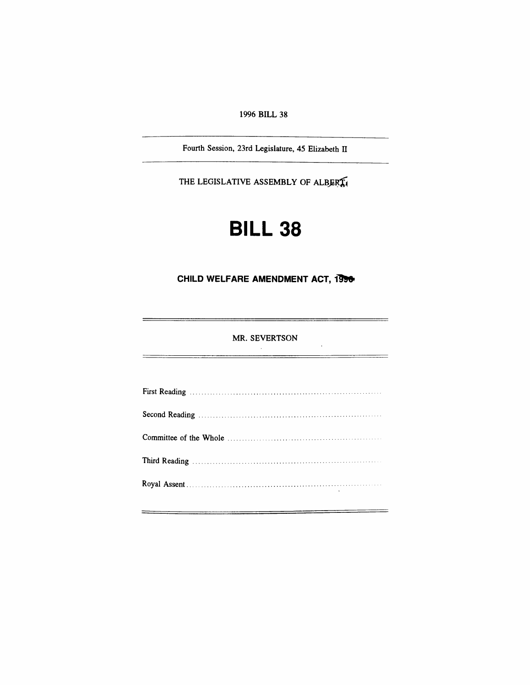*1996 BILL 38*

*Fourth Session, 23rd Legislature, 45 Elizabeth II*

*THE LEGISLATIVE ASSEMBLY OF ALBERTA*

# *BILL 38*

## *CHILD WELFARE AMENDMENT ACT, 1996*

#### *MR. SEVERTSON*  $\sim$

 $\bar{\mathcal{A}}$ 

÷,

÷

 $\equiv$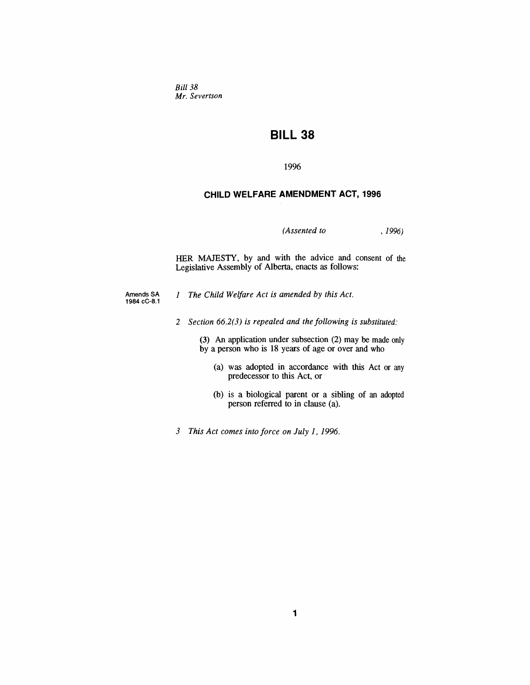*Bill 38 Mr. Severtson*

## *BILL 38*

*1996*

#### *CHILD WELFARE AMENDMENT ACT, 1996*

*(Assented to , 1996)*

*HER MAJESTY, by and with the advice and consent of the Legislative Assembly of Alberta, enacts as follows:*

*Amends SA 1984cC-8.1*

*<sup>1</sup> The Child Welfare Act is amended by this Act.*

*2 Section 66.2(3) is repealed and the following is substituted:*

*(3) An application under subsection (2) may be made only by a person who is 18 years of age or over and who*

- *(a) was adopted in accordance with this Act or any predecessor to this Act, or*
- *(b) is a biological parent or a sibling of an adopted person referred to in clause (a).*
- *3 This Act comes into force on July 1, 1996.*